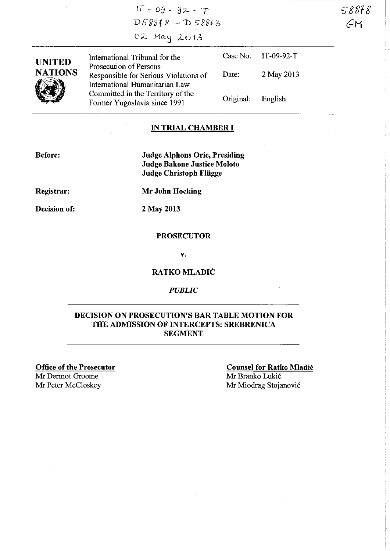$17 - 09 - 92 - T$  $DS8878 - D58863$ C2 May 2013

**UNITED NATIONS WEDEN** 

International Tribunal for the Prosecution of Persons Responsible for Serious Violations of International Humanitarian Law Committed in the Territory of the Former Yugoslavia since 1991 Case No. IT-09-92-T Date: 2 May 2013 Original: English

### **IN TRIAL CHAMBER I**

**Before:** 

**Judge Alphons Orie, Presiding Judge Bakone Justice Moloto Judge Christoph Fliigge** 

**Registrar:** 

**Decision of:** 

**Mr John Hocking** 

2 May 2013

#### **PROSECUTOR**

v.

### **RATKO MLADIC**

*PUBLIC* 

### **DECISION ON PROSECUTION'S BAR TABLE MOTION FOR THE ADMISSION OF INTERCEPTS: SREBRENICA SEGMENT**

**Office of the Prosecutor**  Mr Derrnot Groome Mr Peter McCloskey

**Counsel for Ratko Mladic**  Mr Branko Lukic Mr Miodrag Stojanovic

S-8818-1 GM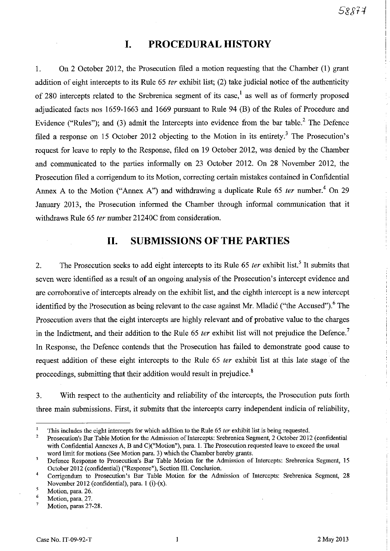# **I. PROCEDURAL HISTORY**

1. On 2 October 2012, the Prosecution filed a motion requesting that the Chamber (1) grant addition of eight intercepts to its Rule 65 *ter* exhibit list; (2) take judicial notice of the authenticity of 280 intercepts related to the Srebrenica segment of its case,<sup>1</sup> as well as of formerly proposed adjudicated facts nos 1659-1663 and 1669 pursuant to Rule 94 (B) of the Rules of Procedure and Evidence ("Rules"); and (3) admit the Intercepts into evidence from the bar table. $<sup>2</sup>$  The Defence</sup> filed a response on 15 October 2012 objecting to the Motion in its entirety.<sup>3</sup> The Prosecution's request for leave to reply to the Response, filed on 19 October 2012, was denied by the Chamber and communicated to the parties informally on 23 October 2012. On 28 November 2012, the Prosecution filed a corrigendum to its Motion, correcting certain mistakes contained in Confidential Annex A to the Motion ("Annex A") and withdrawing a duplicate Rule 65 ter number.<sup>4</sup> On 29 January 2013, the Prosecution informed the Chamber through informal communication that it withdraws Rule 65 fer number 21240C from consideration.

# **11. SUBMISSIONS OF THE PARTIES**

2. The Prosecution seeks to add eight intercepts to its Rule 65 ter exhibit list.<sup>5</sup> It submits that seven were identified as a result of an ongoing analysis of the Prosecution's intercept evidence and are corroborative of intercepts already on the exhibit list, and the eighth intercept is a new intercept identified by the Prosecution as being relevant to the case against Mr. Mladić ("the Accused").<sup>6</sup> The Prosecution avers that the eight intercepts are highly relevant and of probative value to the charges in the Indictment, and their addition to the Rule 65 ter exhibit list will not prejudice the Defence.<sup>7</sup> In Response, the Defence contends that the Prosecution has failed to demonstrate good cause to request addition of these eight intercepts to the Rule 65 fer exhibit list at this late stage of the proceedings, submitting that their addition would result in prejudice.<sup>8</sup>

3. With respect to the authenticity and reliability of the intercepts, the Prosecution puts forth three main submissions. First, it submits that the intercepts carry independent indicia of reliability,

 $\mathbf{I}$ This includes the eight intercepts for which addition to the Rule 65 *ter* exhibit list is being requested.

 $\overline{2}$ Prosecution's Bar Table Motion for the Admission of Intercepts: Srebrenica Segment, 2 October 2012 (confidential with Confidential Annexes A, B and C)("Motion"), para. 1. The Prosecution requested leave to exceed the usual word limit for motions (See Motion para. 3) which the Chamber hereby grants.

 $\overline{3}$ Defence Response to Prosecution's Bar Table Motion for the Admission of Intercepts: Srebrenica Segment, IS October 2012 (confidential) ("Response"), Section Ill. Conclusion.

<sup>4</sup>  Corrigendum to Prosecution's Bar Table Motion for the Admission of Intercepts: Srebrenica Segment, 28 November 2012 (confidential), para. I (i)-(x).

<sup>5</sup>  Motion, para. 26.

<sup>6</sup>  Motion, para. 27.

<sup>7</sup>  Motion, paras 27-28.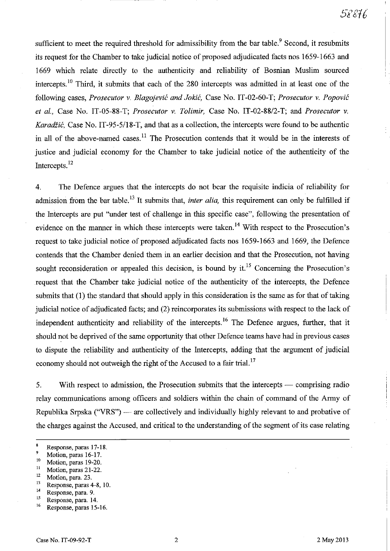------- I

sufficient to meet the required threshold for admissibility from the bar table.<sup>9</sup> Second, it resubmits its request for the Chamber to take judicial notice of proposed adjudicated facts nos 1659-1663 and 1669 which relate directly to the authenticity and reliability of Bosnian Muslim sourced intercepts.<sup>10</sup> Third, it submits that each of the 280 intercepts was admitted in at least one of the following cases, *Prosecutor* v. *Blagojevic and Jokic,* Case No. IT -02-60-T; *Prosecutor* v. *Popovic et al.,* Case No. IT -05-88-T; *Prosecutor* v. *Tolimir,* Case No. IT *-02-8812-*T; and *Prosecutor* v. *Karadžić*, Case No. IT-95-5/18-T, and that as a collection, the intercepts were found to be authentic in all of the above-named cases.<sup>11</sup> The Prosecution contends that it would be in the interests of justice and judicial economy for the Chamber to take judicial notice of the authenticity of the Intercepts.<sup>12</sup>

4. The Defence argues that the intercepts do not bear the requisite indicia of reliability for admission from the bar table.<sup>13</sup> It submits that, *inter alia*, this requirement can only be fulfilled if the Intercepts are put "under test of challenge in this specific case", following the presentation of evidence on the manner in which these intercepts were taken.<sup>14</sup> With respect to the Prosecution's request to take judicial notice of proposed adjudicated facts nos 1659-1663 and 1669, the Defence contends that the Chamber denied them in an earlier decision and that the Prosecution, not having sought reconsideration or appealed this decision, is bound by it.<sup>15</sup> Concerning the Prosecution's request that the Chamber take judicial notice of the authenticity of the intercepts, the Defence submits that (1) the standard that should apply in this consideration is the same as for that of taking judicial notice of adjudicated facts; and (2) reincorporates its submissions with respect to the lack of independent authenticity and reliability of the intercepts.<sup>16</sup> The Defence argues, further, that it should not be deprived of the same opportunity that other Defence teams have had in previous cases to dispute the reliability and authenticity of the Intercepts, adding that the argument of judicial economy should not outweigh the right of the Accused to a fair trial.<sup>17</sup>

5. With respect to admission, the Prosecution submits that the intercepts — comprising radio relay communications among officers and soldiers within the chain of command of the Army of Republika Srpska ("VRS") - are collectively and individually highly relevant to and probative of the charges against the Accused, and critical to the understanding of the segment of its case relating

 $\frac{12}{13}$  Motion, para. 23.

 $^{15}$  Response, para. 14.

 $\overline{6}$ Response, paras 17-18.

 $\frac{9}{10}$  Motion, paras 16-17.

 $^{10}$  Motion, paras 19-20.

 $\frac{11}{12}$  Motion, paras 21-22.

 $13$  Response, paras 4-8, 10.<br>
Response para 9

<sup>&</sup>lt;sup>14</sup> Response, para. 9.<br><sup>15</sup> Response para 14

Response, paras 15-16.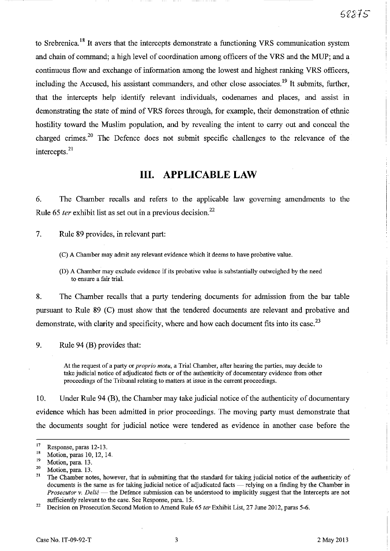to Srebrenica.<sup>18</sup> It avers that the intercepts demonstrate a functioning VRS communication system and chain of command; a high level of coordination among officers of the VRS and the MUP; and a continuous flow and exchange of information among the lowest and highest ranking VRS officers, including the Accused, his assistant commanders, and other close associates.<sup>19</sup> It submits, further, that the intercepts help identify relevant individuals, codenames and places, and assist in demonstrating the state of mind of VRS forces through, for example, their demonstration of ethnic hostility toward the Muslim population, and by revealing the intent to carry out and conceal the charged crimes.<sup>20</sup> The Defence does not submit specific challenges to the relevance of the intercepts. $^{21}$ 

### **Ill. APPLICABLE LAW**

6. The Chamber recalls and refers to the applicable law governing amendments to the Rule 65 *ter* exhibit list as set out in a previous decision.<sup>22</sup>

7. Rule 89 provides, in relevant part:

(D) A Chamber may exclude evidence if its probative value is substantially outweighed by the need **to ensure a fair trial.** 

8. The Chamber recalls that a party tendering documents for admission from the bar table pursuant to Rule 89 (C) must show that the tendered documents are relevant and probative and demonstrate, with clarity and specificity, where and how each document fits into its case.<sup>23</sup>

9. Rule 94 (B) provides that:

At the request of a party or *proprio motu,* a Trial Chamber, after hearing the parties, may decide to take judicial notice of adjudicated facts or of the authenticity of documentary evidence from other proceedings of the Tribunal relating to matters at issue in the current proceedings.

10. Under Rule 94 (B), the Chamber may take judicial notice of the authenticity of documentary evidence which has been admitted in prior proceedings. The moving party must demonstrate that the documents sought for judicial notice were tendered as evidence in another case before the

<sup>(</sup>C) A Chamber may admit any relevant evidence which it deems to have probative value.

 $17$  Response, paras 12-13.

<sup>&</sup>lt;sup>18</sup> Motion, paras 10, 12, 14.

 $\frac{19}{20}$  Motion, para. 13.

<sup>&</sup>lt;sup>20</sup> Motion, para. 13.

<sup>21</sup> The Chamber notes, however, that in submitting that the standard for taking judicial notice of the authenticity of documents is the same as for taking judicial notice of adjudicated facts — relying on a finding by the Chamber in *Prosecutor* **v.** *Delif:* **- the Defence submission can be understood to implicitly suggest that the Intercepts are not**  sufficiently relevant to the case. See Response, para. 15.

<sup>22</sup> Decision on Prosecution Second Motion to Amend Rule 65 *ter* Exhibit List, 27 June 2012, paras 5-6.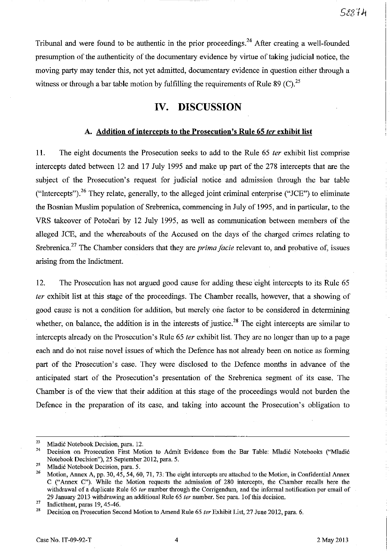Tribunal and were found to be authentic in the prior proceedings.<sup>24</sup> After creating a well-founded preswnption of the authenticity of the docwnentary evidence by virtue of taking judicial notice, the moving party may tender this, not yet admitted, docwnentary evidence in question either through a witness or through a bar table motion by fulfilling the requirements of Rule 89 (C).<sup>25</sup>

# **IV. DISCUSSION**

#### **A. Addition of intercepts to the Prosecution's Rule 65 fer exhibit list**

**11.** The eight docwnents the Prosecution seeks to add to the Rule 65 fer exhibit list comprise intercepts dated between 12 and 17 July 1995 and make up part of the 278 intercepts that are the subject of the Prosecution's request for judicial notice and admission through the bar table ("Intercepts").<sup>26</sup> They relate, generally, to the alleged joint criminal enterprise ("JCE") to eliminate the Bosnian Muslim population of Srebrenica, commencing in July of 1995, and in particular, to the VRS takeover of Potocari by 12 July 1995, as well as communication between members of the alleged JCE, and the whereabouts of the Accused on the days of the charged crimes relating to Srebrenica.<sup>27</sup> The Chamber considers that they are *prima facie* relevant to, and probative of, issues arising from the Indictment.

12. The Prosecution has not argued good cause for adding these eight intercepts to its Rule 65 fer exhibit list at this stage of the proceedings. The Chamber recalls, however, that a showing of good cause is not a condition for addition, but merely one factor to be considered in determining whether, on balance, the addition is in the interests of justice.<sup>28</sup> The eight intercepts are similar to intercepts already oh the Prosecution's Rule 65 fer exhibit list. They are no longer than up to a page each and do not raise novel issues of which the Defence has not already been on notice as forming part of the Prosecution's case. They were disclosed to the Defence months in advance of the anticipated start of the Prosecution's presentation of the Srebrenica segment of its case. The Chamber is of the view that their addition at this stage of the proceedings would not burden the Defence in the preparation of its case, and taking into account the Prosecution's obligation to

<sup>&</sup>lt;sup>23</sup> Mladić Notebook Decision, para. 12.

<sup>24</sup> Decision on Prosecution First Motion to Admit Evidence from the Bar Table: Mladic Notebooks ("Mladic Notebook Decision"), 25 September 2012, para. 5.

<sup>&</sup>lt;sup>25</sup> Mladić Notebook Decision, para. 5.<br><sup>26</sup> Metian Agnex A 22, 20, 45, 54, 61

<sup>26</sup>Motion, Annex A, pp. 30, 45, 54, 60, 71, 73. The eight intercepts are attached to the Motion, in Confidential Annex C ("Annex C"). While the Motion requests the admission of 280 intercepts, the Chamber recalls here the withdrawal of a duplicate Rule 65 ter number through the Corrigendum, and the informal notification per email of 29 January 2013 withdrawing an additional Rule 65 ter number. See para. 1 of this decision.

 $\frac{27}{28}$  Indictment, paras 19, 45-46.

Decision on Prosecution Second Motion to Amend Rule 65 ter Exhibit List, 27 June 2012, para. 6.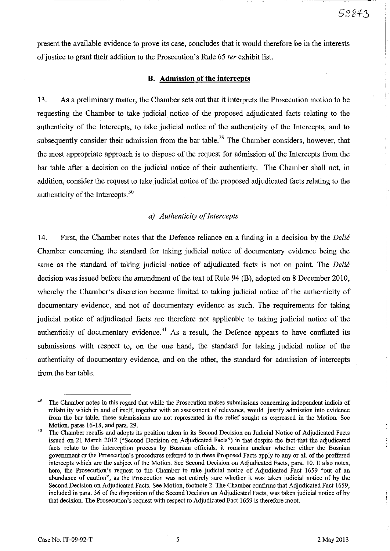present the available evidence to prove its case, concludes that it would therefore be in the interests of justice to grant their addition to the Prosecution's Rule 65 *ter* exhibit list.

#### **B. Admission of the intercepts**

13. As a preliminary matter, the Chamber sets out that it interprets the Prosecution motion to be requesting the Chamber to take judicial notice of the proposed adjudicated facts relating to the authenticity of the Intercepts, to take judicial notice of the authenticity of the Intercepts, and to subsequently consider their admission from the bar table.<sup>29</sup> The Chamber considers, however, that the most appropriate approach is to dispose of the request for admission of the Intercepts from the bar table after a decision on the judicial notice of their authenticity. The Chamber shall not, in addition, consider the request to take judicial notice of the proposed adjudicated facts relating to the authenticity of the Intercepts.3o

#### *a) Authenticity of Intercepts*

14. First, the Chamber notes that the Defence reliance on a finding in a decision by the *Delić* Chamber concerning the standard for taking judicial notice of documentary evidence being the same as the standard of taking judicial notice of adjudicated facts is not on point. The Delić decision was issued before the amendment of the text of Rule 94 (B), adopted on 8 December 2010, whereby the Chamber's discretion became limited to taking judicial notice of the authenticity of documentary evidence, and not of documentary evidence as such. The requirements for taking judicial notice of adjudicated facts are therefore not applicable to taking judicial notice of the authenticity of documentary evidence.<sup>31</sup> As a result, the Defence appears to have conflated its submissions with respect to, on the one hand, the standard for taking judicial notice of the authenticity of documentary evidence, and on the other, the standard for admission of intercepts from the bar table.

I

 $29$  The Chamber notes in this regard that while the Prosecution makes submissions concerning independent indicia of reliability which in and of itself, together with an assessment of relevance, would justify admission into evidence from the bar table, these submissions are not represented in the relief sought as expressed in the Motion. See Motion, paras 16-18, and para. 29.

<sup>&</sup>lt;sup>30</sup> The Chamber recalls and adopts its position taken in its Second Decision on Judicial Notice of Adjudicated Facts issued on 21 March 2012 ("Second Decision on Adjudicated Facts") in that despite the fact that the adjudicated **facts relate to the interception process by Bosnian officials, it remains unclear whether either the Bosnian**  government or the Prosecution's procedures referred to in these Proposed Facts apply to any or all of the proffered intercepts which are the subject of the Motion. See Second Decision on Adjudicated Facts, para. 10. It also notes, here, the Prosecution's request to the Chamber to take judicial notice of Adjudicated Fact 1659 "out of an abundance of caution", as the Prosecution was not entirely sure whether it was taken judicial notice of by the Second Decision on Adjudicated Facts. See Motion, footnote 2. The Chamber confirms that Adjudicated Fact 1659, included in para. 36 of the disposition of the Second Decision on Adjudicated Facts, was taken judicial notice of by that decision. The Prosecution's request with respect to Adjudicated Fact 1659 is therefore moot.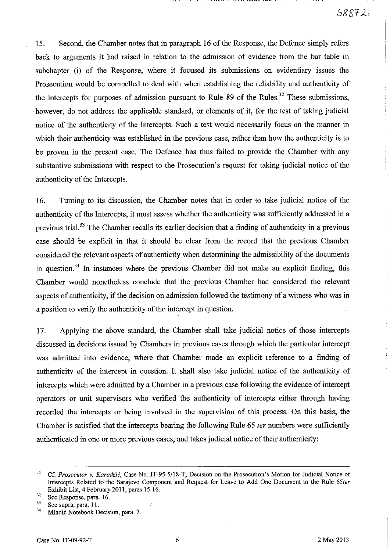15. Second, the Chamber notes that in paragraph 16 of the Response, the Defence simply refers back to arguments it had raised in relation to the admission of evidence from the bar table in subchapter (i) of the Response, where it focused its submissions on evidentiary issues the Prosecution would be compelled to deal with when establishing the reliability and authenticity of the intercepts for purposes of admission pursuant to Rule 89 of the Rules.<sup>32</sup> These submissions, however, do not address the applicable standard, or elements of it, for the test of taking judicial notice of the authenticity of the Intercepts. Such a test would necessarily focus on the manner in which their authenticity was established in the previous case, rather than how the authenticity is to be proven in the present case. The Defence has thus failed to provide the Chamber with any substantive submissions with respect to the Prosecution's request for taking judicial notice of the authenticity of the Intercepts.

16. Turning to its discussion, the Chamber notes that in order to take judicial notice of the authenticity of the Intercepts, it must assess whether the authenticity was sufficiently addressed in a previous trial.<sup>33</sup> The Chamber recalls its earlier decision that a finding of authenticity in a previous case should be explicit in that it should be clear from the record that the previous Chamber considered the relevant aspects of authenticity when determining the admissibility of the documents in question.<sup>34</sup> In instances where the previous Chamber did not make an explicit finding, this Chamber would nonetheless conclude that the previous Chamber had considered the relevant aspects of authenticity, if the decision on admission followed the testimony of a witness who was in a position to verify the authenticity of the intercept in question.

17. Applying the above standard, the Chamber shall take judicial notice of those intercepts discussed in decisions issued by Chambers in previous cases through which the particular intercept was admitted into evidence, where that Chamber made an explicit reference to a finding of authenticity of the intercept in question. It shall also take judicial notice of the authenticity of intercepts which were admitted by a Chamber in a previous case following the evidence of intercept operators or unit supervisors who verified the authenticity of intercepts either through having recorded the intercepts or being involved in the supervision of this process. On this basis, the Chamber is satisfied that the intercepts bearing the following Rule 65 *ter* numbers were sufficiently authenticated in one or more previous cases, and takes judicial notice of their authenticity:

<sup>&</sup>lt;sup>31</sup> Cf. Prosecutor v. Karadžić, Case No. IT-95-5/18-T, Decision on the Prosecution's Motion for Judicial Notice of Intercepts Related to the Sarajevo Component and Request for Leave to Add One Docmnent to the Rule *65ter*  Exhibit List, 4 February 2011, paras 15-16.

 $32$  See Response, para. 16.

 $\frac{33}{34}$  See supra, para. 11.

Mladić Notebook Decision, para. 7.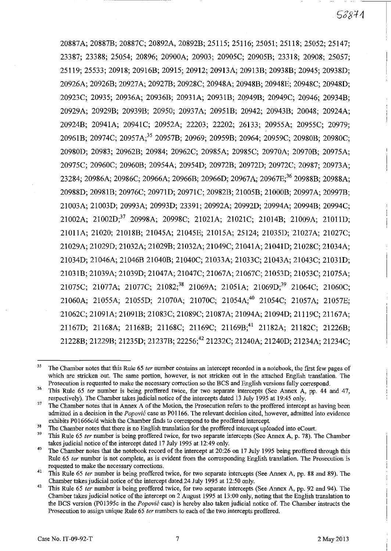20887A; 20887B;20887C;20892A, 20892B;25115; 25116; 25051; 25118; 25052;25147; 23387; 23388; 25054; 20896; 20900A; 20903; 20905C; 20905B; 23318; 20908; 25057; 25119; 25533; 20918; 20916B; 20915; 20912; 20913A; 20913B; 20938B; 20945; 20938D; 20926A; 20926B; 20927 A; 20927B; 20928C; 20948A; 20948B; 20948E; 20948C; 20948D; 20923C; 20935; 20936A; 20936B; 20931A; 2093IB; 20949B; 20949C; 20946; 20934B; 20929A; 20929B; 20939B; 20950; 20937A; 2095IB; 20942; 20943B; 20048; 20924A; 20924B; 20941A; 20941C; 20952A; 22203; 22202; 26133; 20955A; 20955C; 20979; 2096IB; 20974C; 20957A/5 20957B; 20969; 20959B; 20964; 20959C; 20980B; 20980C; 20980D; 20983; 20962B; 20984; 20962C; 20985A; 20985C; 20970A; 20970B; 20975A; 20975C; 20960C; 20960B; 20954A; 20954D; 20972B; 20972D; 20972C; 20987; 20973A; 23284; 20986A; 20986C; 20966A; 20966B; 20966D; 20967A; 20967E;<sup>36</sup> 20988B; 20988A; 20988D; 2098IB; 20976C; 2097ID; 20971C; 20982B; 21005B; 21000B; 20997A; 20997B; 21003A; 21003D; 20993A; 20993D; 23391; 20992A; 20992D; 20994A; 20994B; 20994C; 21002A; 21002D;37 20998A; 20998C; 21021A; 21021C; 21014B; 21009A; 2101ID; 21011A; 21020; 21018B; 21045A; 21045E; 21015A; 25124; 21035D;21027A; 21027C; 21029A; 21029D; 21032A; 21029B; 21032A; 21049C; 21041A; 2104ID; 21028C; 21034A; 21034D; 21046A; 21046B 21040B; 21040C; 21033A;21033C; 21043A; 21043C; 2103ID; 2103IB; 21039A; 21039D; 21047A; 21047C; 21067A; 21067C; 21053D; 21053C; 21075A; 21075C; 21077A; 21077C; 21082;<sup>38</sup> 21069A; 21051A; 21069D;<sup>39</sup> 21064C; 21060C; 21060A; 21055A; 21055D; 21070A; 21070C; 21054A;4o 21054C; 21057A; 21057E; 21062C; 21091A; 2109IB; 21083C; 21089C; 21087A; 21094A; 21094D; 21119C; 21167A; 21167D; 21168A; 21168B; 21168C; 21169C; 21169B;<sup>41</sup> 21182A; 21182C; 21226B; 21228B; 21229B; 21235D; 21237B; 22256;42 21232C; 21240A; 21240D; 21234A; 21234C;

<sup>35</sup> The Chamber notes tbat this Rule 65 *ter* number contains an intercept recorded in a notebook, the first few pages of which are stricken out. The same portion, however, is not stricken out in the attached English translation. The Prosecution is requested to make the necessary correction so the BCS and English versions fully correspond.

<sup>&</sup>lt;sup>36</sup> This Rule 65 *ter* number is being proffered twice, for two separate intercepts (See Annex A, pp. 44 and 47, respectively). The Chamber takes judicial notice of the intercepts dated 13 July 1995 at 19:45 only.

<sup>&</sup>lt;sup>37</sup> The Chamber notes that in Annex A of the Motion, the Prosecution refers to the proffered intercept as having been admitted in a decision in the *Popovic* case as P01166. The relevant decision cited, however, admitted into evidence exhibits P01666c/d which the Chamber fmds *to* correspond to the proffered intercept

<sup>&</sup>lt;sup>38</sup> The Chamber notes that there is no English translation for the proffered intercept uploaded into eCourt.

<sup>39</sup> This Rule 65 *ter* number is being proffered twice, for two separate intercepts (See Annex A, p. 78). The Chamber takes judicial notice of the intercept dated 17 July 1995 at 12:49 only.

<sup>&</sup>lt;sup>40</sup> The Chamber notes that the notebook record of the intercept at 20:26 on 17 July 1995 being proffered through this Rule 65 *ter* number is not complete, as is evident from the corresponding English translation. The Prosecution is **requested to make the necessary corrections.** 

<sup>&</sup>lt;sup>41</sup> This Rule 65 *ter* number is being proffered twice, for two separate intercepts (See Annex A, pp. 88 and 89). The Chamber takes judicial notice of the intercept dated 24 July 1995 at 12:50 only.

<sup>&</sup>lt;sup>42</sup> This Rule 65 *ter* number is being proffered twice, for two separate intercepts (See Annex A, pp. 92 and 94). The Chamber takes judicial notice of the intercept on 2 August 1995 at 13:00 only, noting that the English translation to the BCS version (PO 1395c in the *Popovic* case) is hereby also taken judicial notice of. The Chamber instructs the Prosecution to assign unique Rule 65 *ter* numbers to each of the two intercepts proffered.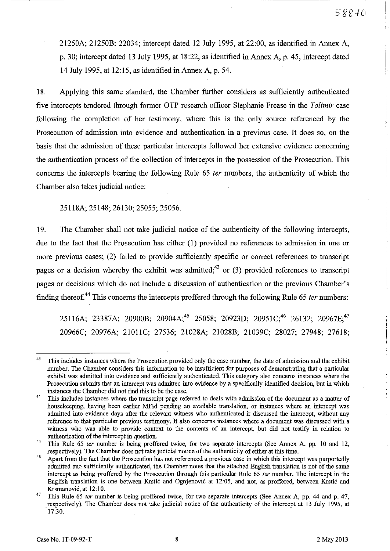21250A; 21250B; 22034; intercept dated 12 July 1995, at 22:00, as identified in Annex A, p. 30; intercept dated 13 July 1995, at 18:22, as identified in Annex A, p. 45; intercept dated 14 July 1995, at 12: 15, as identified in Annex A, p. 54.

18. Applying this same standard, the Chamber further considers as sufficiently authenticated five intercepts tendered through fonner OTP research officer Stephanie Frease in the *Tolimir* case following the completion of her testimony, where this is the only source referenced by the Prosecution of admission into evidence and authentication in a previous case. It does so, on the basis that the admission of these particular intercepts followed her extensive evidence concerning the authentication process of the collection of intercepts in the possession of the Prosecution. This concerns the intercepts bearing the following Rule 65 fer numbers, the authenticity of which the Chamber also takes judicial notice:

25118A; 25148;26130; 25055; 25056.

19. The Chamber shall not take judicial notice of the authenticity of the following intercepts, due to the fact that the Prosecution has either (I) provided no references to admission in one or more previous cases; (2) failed to provide sufficiently specific or correct references to transcript pages or a decision whereby the exhibit was admitted;<sup>43</sup> or (3) provided references to transcript pages or decisions which do not include a discussion of authentication or the previous Chamber's finding thereof.<sup>44</sup> This concerns the intercepts proffered through the following Rule 65 *ter* numbers:

25116A; 23387A; 20900B; 20904A;<sup>45</sup> 25058; 20923D; 20951C;<sup>46</sup> 26132; 20967E;<sup>47</sup> 20966C; 20976A; 21011C; 27536; 21028A; 21028B; 21039C; 28027; 27948; 27618;

<sup>&</sup>lt;sup>43</sup> This includes instances where the Prosecution provided only the case number, the date of admission and the exhibit number. The Chamber considers this infonnation to be insufficient for purposes of demonstrating that a particular **exhibit was admitted into evidence and sufficiently authenticated. This category also concerns instances where the**  Prosecution submits that an intercept was admitted into evidence by a specifically identified decision, but in which instances the Chamber did not find this to be the case.

<sup>&</sup>lt;sup>44</sup> This includes instances where the transcript page referred to deals with admission of the document as a matter of housekeeping, having been earlier MFId pending an available translation, or instances where an intercept was admitted into evidence days after the relevant witness who authenticated it discussed the intercept, without any **reference to that particular previous testimony. It also concerns instances where a document was discussed with a**  witness who was able to provide context to the contents of an intercept, but did not testify in relation to **authentication of the intercept in question.** 

<sup>&</sup>lt;sup>45</sup> This Rule 65 ter number is being proffered twice, for two separate intercepts (See Annex A, pp. 10 and 12, respectively). The Chamber does not take judicial notice of the authenticity of either at this time.

<sup>&</sup>lt;sup>46</sup> Apart from the fact that the Prosecution has not referenced a previous case in which this intercept was purportedly admitted and sufficiently authenticated, the Chamber notes that the attached English translation is not of the same intercept as being proffered by the Prosecution through this particular Rule 65 *ter* number. The intercept in the English translation is one between Krstić and Ognjenović at 12:05, and not, as proffered, between Krstić and Krsmanovic, at 12: 10.

<sup>&</sup>lt;sup>47</sup> This Rule 65 ter number is being proffered twice, for two separate intercepts (See Annex A, pp. 44 and p. 47, respectively). The Chamber does not take judicial notice of the authenticity of the intercept at 13 July 1995, at 17:30.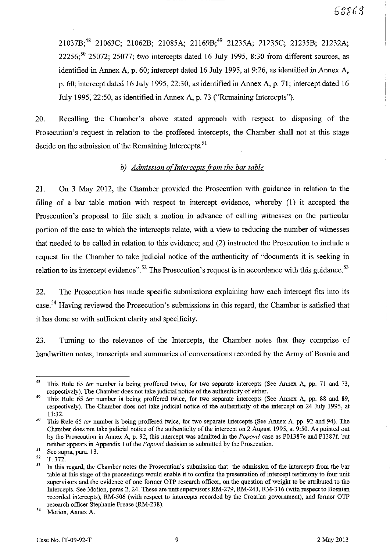21037B;4S 21063C; 21062B; 21085A; 21169B;49 21235A; 21235C; 21235B; 21232A; 22256;<sup>50</sup> 25072; 25077; two intercepts dated 16 July 1995, 8:30 from different sources, as identified in Annex A, p. 60; intercept dated 16 July 1995, at 9:26, as identified in Annex A, p. 60; intercept dated 16 July 1995, 22:30, as identified in Annex A, p. 71; intercept dated 16 July 1995, 22:50, as identified in Annex A, p. 73 ("Remaining Intercepts").

20. Recalling the Chamber's above stated approach with respect to disposing of the Prosecution's request in relation to the proffered intercepts, the Chamber shall not at this stage decide on the admission of the Remaining Intercepts. $51$ 

#### b) Admission of Intercepts from the bar table

21. On 3 May 2012, the Chamber provided the Prosecution with guidance in relation to the filing of a bar table motion with respect to intercept evidence, whereby (1) it accepted the Prosecution's proposal to file such a motion in advance of calling witnesses on the particular portion of the case to which the intercepts relate, with a view to reducing the number of witnesses that needed to be called in relation to this evidence; and (2) instructed the Prosecution to include a request for the Chamber to take judicial notice of the authenticity of "documents it is seeking in relation to its intercept evidence".<sup>52</sup> The Prosecution's request is in accordance with this guidance.<sup>53</sup>

22. The Prosecution has made specific submissions explaining how each intercept fits into its case.<sup>54</sup> Having reviewed the Prosecution's submissions in this regard, the Chamber is satisfied that it has done so with sufficient clarity and specificity.

23. Turning to the relevance of the Intercepts, the Chamber notes that they comprise of handwritten notes, transcripts and summaries of conversations recorded by the Army of Bosnia and

<sup>&</sup>lt;sup>48</sup> This Rule 65 ter number is being proffered twice, for two separate intercepts (See Annex A, pp. 71 and 73, respectively). The Chamber does not take judicial notice of the authenticity of either.

 $^{49}$  This Rule 65 ter number is being proffered twice, for two separate intercepts (See Annex A, pp. 88 and 89, respectively). The Chamber does not take judicial notice of the authenticity of the intercept on 24 July 1995, at 11:32.

 $50$  This Rule 65 *ter* number is being proffered twice, for two separate intercepts (See Annex A, pp. 92 and 94). The Chamber does not take judicial notice of the authenticity of the intercept on 2 August 1995, at 9:50. As pointed out by the Prosecution in Annex A, p. 92, this intercept was admitted in the Popović case as P0.1387e and P1387f, but neither appears in Appendix I of the *Popović* decision as submitted by the Prosecution.

<sup>&</sup>lt;sup>51</sup> See supra, para. 13.

 $\frac{52}{53}$  T. 372.

In this regard, the Chamber notes the Prosecution's submission that the admission of the intercepts from the bar table at this stage of the proceedings would enable it to confine the presentation of intercept testimony to four unit supervisors and the evidence of one former OTP research officer, on the question of weight to be attributed to the Intercepts. See Motion, paras 2, 24. These are unit supervisors RM-279, RM-243, RM-316 (with respect to Bosnian recorded intercepts), RM-506 (with respect to intercepts recorded by the Croatian goverument), and former OTP research officer Stephanie Frease (RM-238).

<sup>54</sup> Motion, Annex A.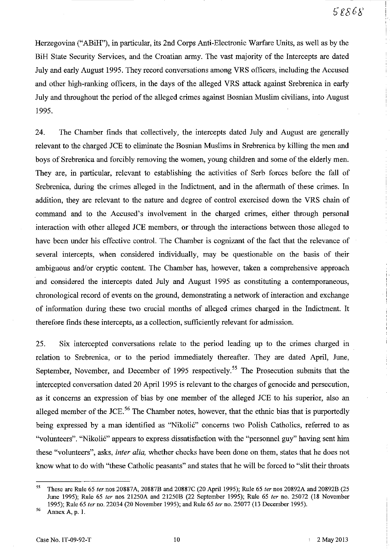Herzegovina ("ABiH"), in particular, its 2nd Corps Anti-Electronic Warfare Units, as well as by the BiH State Security Services, and the Croatian army. The vast majority of the Intercepts are dated July and early August 1995. They record conversations among VRS officers, including the Accused and other high-ranking officers, in the days of the alleged VRS attack against Srebrenica in early July and throughout the period of the alleged crimes against Bosnian Muslim civilians, into August 1995.

24. The Chamber finds that collectively, the intercepts dated July and August are generally relevant to the charged JCE to eliminate the Bosnian Muslims in Srebrenica by killing the men and boys of Srebrenica and forcibly removing the women, young children and some of the elderly men. They are, in particular, relevant to establishing the activities of Serb forces before the fall of Srebrenica, during the crimes alleged in the Indictment, and in the aftermath of these crimes. In addition, they are relevant to the nature and degree of control exercised down the VRS chain of command and to the Accused's involvement in the charged crimes, either through personal interaction with other alleged JCE members, or through the interactions between those alleged to have been under his effective control. The Chamber is cognizant of the fact that the relevance of several intercepts, when considered individually, may be questionable on the basis of their ambiguous and/or cryptic content. The Chamber has, however, taken a comprehensive approach and considered the intercepts dated July and August 1995 as constituting a contemporaneous, chronological record of events on the ground, demonstrating a network of interaction and exchange of information during these two crucial months of alleged crimes charged in the Indictment. It therefore finds these intercepts, as a collection, sufficiently relevant for admission.

25. Six intercepted conversations relate to the period leading up to the crimes charged in relation to Srebrenica, or to the period immediately thereafter. They are dated April, June, September, November, and December of 1995 respectively.<sup>55</sup> The Prosecution submits that the intercepted conversation dated 20 April 1995 is relevant to the charges of genocide and persecution, as it concerns an expression of bias by one member of the alleged JCE to his superior, also an alleged member of the JCE.<sup>56</sup> The Chamber notes, however, that the ethnic bias that is purportedly being expressed by a man identified as "Nikolic" concerns two Polish Catholics, referred to as "volunteers". "Nikolić" appears to express dissatisfaction with the "personnel guy" having sent him these "volunteers", asks, *inter alia,* whether checks have been done on them, states that he does not know what to do with "these Catholic peasants" and states that he will be forced to "slit their throats

<sup>55</sup> These are Rule 65 *ter* nos 20887 A, 20887B and 20887C (20 April 1995); Rule 65 *ter* nos 20892A and 20892B (25 June 1995); Rule 65 *ter* nos 21250A and 21250B (22 September 1995); Rule 65 *ter* no. 25072 (18 November 1995); Rule 65 *ter* no. 22034 (20 November 1995); and Rule 65 *ter* no. 25077 (13 December 1995).

<sup>56</sup> **Annex A, p. 1.**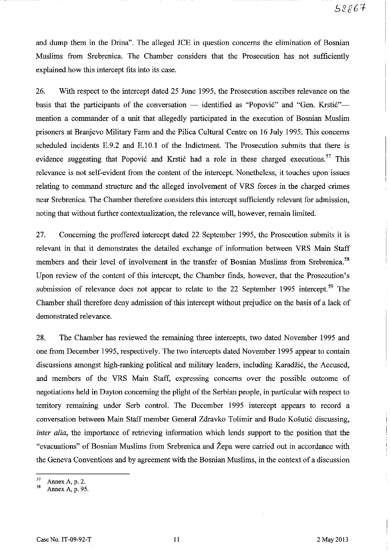and dump them in the Drina". The alleged JCE in question concerns the elimination of Bosnian Muslims from Srebrenica. The Chamber considers that the Prosecution has not sufficiently explained how this intercept fits into its case.

26. With respect to the intercept dated 25 June 1995, the Prosecution ascribes relevance on the basis that the participants of the conversation  $-$  identified as "Popović" and "Gen. Krstić" $$ mention a commander of a unit that allegedly participated in the execution of Bosnian Muslim prisoners at Branjevo Military Farm and the Pilica Cultural Centre on 16 July 1995. This concerns scheduled incidents E.9.2 and E.IO.l of the Indictment. The Prosecution submits that there is evidence suggesting that Popović and Krstić had a role in these charged executions.<sup>57</sup> This relevance is not self-evident from the content of the intercept. Nonetheless, it touches upon issues relating to command structure and the alleged involvement of VRS forces in the charged crimes near Srebrenica. The Chamber therefore considers this intercept sufficiently relevant for admission, noting that without further contextualization, the relevance will, however, remain limited.

27. Concerning the proffered intercept dated 22 September 1995, the Prosecution submits it is relevant in that it demonstrates the detailed exchange of information between VRS Main Staff members and their level of involvement in the transfer of Bosnian Muslims from Srebrenica.<sup>58</sup> Upon review of the content of this intercept, the Chamber finds, however, that the Prosecution's submission of relevance does not appear to relate to the 22 September 1995 intercept.<sup>59</sup> The Chamber shall therefore deny admission of this intercept without prejudice on the basis of a lack of demonstrated relevance.

28. The Chamber has reviewed the remaining three intercepts, two dated November 1995 and one from December 1995, respectively. The two intercepts dated November 1995 appear to contain discussions amongst high-ranking political and military leaders, including Karadzic, the Accused, and members of the VRS Main Staff, expressing concerns over the possible outcome of negotiations held in Dayton concerning the plight of the Serbian people, in particular with respect to territory remaining under Serb control. The December 1995 intercept appears to record a conversation between Main Staff member General Zdravko Tolimir and Budo Kosutic discussing, *inter alia*, the importance of retrieving information which lends support to the position that the "evacuations" of Bosnian Muslims from Srebrenica and Zepa were carried out in accordance with the Geneva Conventions and by agreement with the Bosnian Muslims, in the context of a discussion

 $57$  Annex A, p. 2.

**<sup>58</sup>Annex A, p. 95.**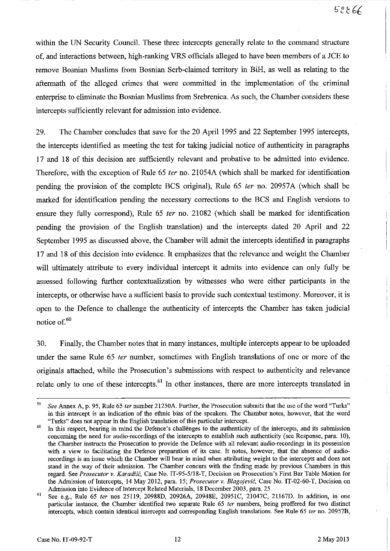within the UN Security Council. These three intercepts generally relate to the command structure of, and interactions between, high-ranking VRS officials alleged to have been members of a JCE to remove Bosnian Muslims from Bosnian Serb-claimed territory in BiH, as well as relating to the aftermath of the alleged crimes that were committed in the implementation of the criminal enterprise to eliminate the Bosnian Muslims from Srebrenica. As such, the Chamber considers these intercepts sufficiently relevant for admission into evidence.

29. The Chamber concludes that save for the 20 April 1995 and 22 September 1995 intercepts, the intercepts identified as meeting the test for taking judicial notice of authenticity in paragraphs 17 and 18 of this decision are sufficiently relevant and probative to be admitted into evidence. Therefore, with the exception of Rule 65 fer no. 21054A (which shall be marked for identification pending the provision of the complete BCS original), Rule 65 *ter* no. 20957A (which shall be marked for identification pending the necessary corrections to the BCS and English versions to ensure they fully correspond), Rule 65 *ter* no. 21082 (which shall be marked for identification pending the provision of the English translation) and the intercepts dated 20 April and 22 September 1995 as discussed above, the Chamber will admit the intercepts identified in paragraphs 17 and 18 of this decision into evidence. It emphasizes that the relevance and weight the Chamber will ultimately attribute to every individual intercept it admits into evidence can only fully be assessed following further contextualization by witnesses who were either participants in the intercepts, or otherwise have a sufficient basis to provide such contextual testimony. Moreover, it is open to the Defence to challenge the authenticity of intercepts the Chamber has taken judicial notice of.<sup>60</sup>

30. Finally, the Chamber notes that in many instances, multiple intercepts appear to be uploaded under the same Rule 65 *ter* number, sometimes with English translations of one or more of the originals attached, while the Prosecution's submissions with respect to authenticity and relevance relate only to one of these intercepts.<sup>61</sup> In other instances, there are more intercepts translated in

*<sup>59</sup> See* Annex A, p. 95, Rule 65 *ler* number 21250A. Further, the Prosecution submits that the use of the word "Turks" in this intercept is an indication of the ethnic bias of the speakers. The Chamber notes, however, that the word "Turks" does not appear in the English translation of this particular intercept.

 $\frac{60}{\pi}$  In this respect, bearing in mind the Defence's challenges to the authenticity of the intercepts, and its submission concerning the need for audio-recordings of the intercepts to establish such authenticity (see Response, para. 10), the Chamber instructs the Prosecution to provide the Defence with all relevant audio-recordings in its possession with a view to facilitating the Defence preparation of its case. It notes, however, that the ahsence of audiorecordings is an issue which the Chamber will bear in mind when attributing weight to the intercepts and does not stand in the way of their admission. The Chamher concurs with the finding made by previous Chambers in this regard. See *Prosecutor* v. *Karadiic,* Case No. IT-95-5118-T, Decision on Prosecution's First Bar Table Motion for the Admission of Intercepts, 14 May 2012, para. 15; *Prosecutor v. Blagojević*, Case No. IT-02-60-T, Decision on Admission into Evidence of Intercept Related Materials, 18 December 2003, para. 25.

<sup>61</sup> See e.g., Rule 65 *ter* nos 25119, 20988D, 20926A, 20948E, 20951C, 21047C, 21167D. In addition, in one particular instance, the Chamber identified two separate Rule 65 *fer* numbers, being proffered for two distinct intercepts, which contain identical intercepts and corresponding English translations. See Rule 65 *ter* no. 20957B,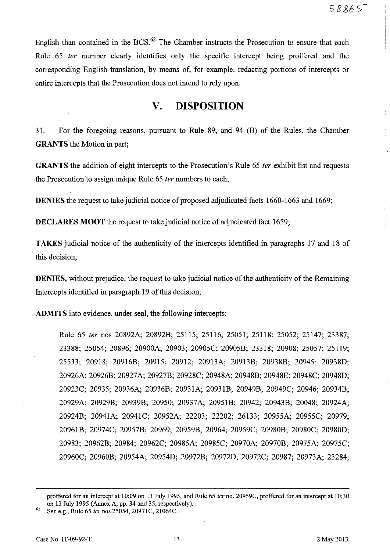English than contained in the  $BCS<sup>62</sup>$ . The Chamber instructs the Prosecution to ensure that each Rule 65 fer number clearly identifies only the specific intercept being proffered and the corresponding English translation, by means of, for example, redacting portions of intercepts or entire intercepts that the Prosecution does not intend to rely upon.

## **v. DISPOSITION**

31. For the foregoing reasons, pursuant to Rule 89, and 94 CB) of the Rules, the Chamber **GRANTS** the Motion in part;

**GRANTS** the addition of eight intercepts to the Prosecution's Rule 65 fer exhibit list and requests the Prosecution to assign unique Rule 65 fer numbers to each;

**DENIES** the request to take judicial notice of proposed adjudicated facts 1660-1663 and 1669;

**DECLARES MOOT** the request to take judicial notice of adjudicated fact 1659;

**TAKES** judicial notice of the authenticity of the intercepts identified in paragraphs 17 and 18 of this decision;

**DENIES,** without prejudice, the request to take judicial notice of the authenticity of the Remaining Intercepts identified in paragraph 19 of this decision;

**ADMITS** into evidence, under seal, the following intercepts;

Rule 65 fer nos 20892A; 20892B; 25115; 25116; 25051; 25118; 25052; 25147; 23387; 23388; 25054; 20896; 20900A; 20903; 20905C; 20905B; 23318; 20908; 25057; 25119; 25533; 20918; 20916B; 20915; 20912; 20913A; 20913B; 20938B; 20945; 20938D; 20926A; 20926B; 20927A; 20927B; 20928C; 20948A; 20948B; 20948E; 20948C; 20948D; 20923C; 20935; 20936A; 20936B; 20931A; 2093lB; 20949B; 20949C; 20946; 20934B; 20929A; 20929B; 20939B; 20950; 20937A; 20951B; 20942; 20943B; 20048; 20924A; 20924B; 20941A; 20941C; 20952A; 22203; 22202; 26133; 20955A; 20955C; 20979; 20961B; 20974C; 20957B; 20969; 20959B; 20964; 20959C; 20980B; 20980C; 20980D; 20983; 20962B; 20984; 20962C; 20985A; 20985C; 20970A; 20970B; 20975A; 20975C; 20960C; 20960B; 20954A; 20954D; 20972B; 20972D;20972C; 20987; 20973A; 23284;

proffered for an intercept at 10:09 on 13 July 1995, and Rule 65 ter no. 20959C, proffered for an intercept at 10:30 on 13 July 1995 (Annex A, pp. 34 and 35, respectively).

See e.g., Rule 65 ter nos 25054, 20971C, 21064C.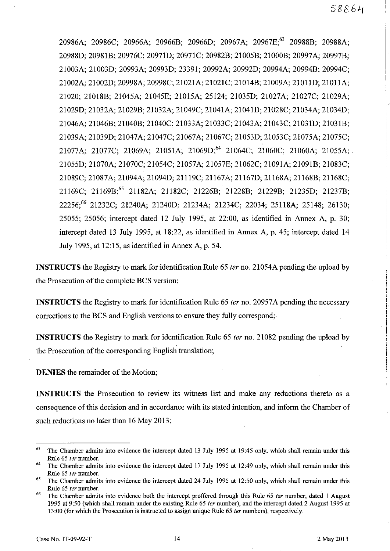20986A; 20986C; 20966A; 20966B; 20966D; 20967A; 20967E;<sup>63</sup> 20988B; 20988A; 20988D; 20981B; 20976C; 2097ID; 20971C; 20982B; 21005B; 21000B; 20997A; 20997B; 21003A; 21003D; 20993A; 20993D; 23391; 20992A; 20992D; 20994A; 20994B; 20994C; 21002A; 21002D; 20998A; 20998C; 21021A; 21021C; 21014B; 21009A; 2101ID; 21011A; 21020; 21018B; 21045A; 21045E; 21015A; 25124; 21035D; 21027A; 21027C; 21029A; 21029D; 21032A; 21029B; 21032A; 21049C; 21041A; 2104ID; 21028C; 21034A; 21034D; 21046A; 21046B; 21040B; 21040C; 21033A; 21033C; 21043A; 21043C; 2103ID; 21031B; 21039A; 21039D; 21047A; 21047C; 21067A; 21067C; 21053D; 21053C; 21075A; 21075C; 21077A; 21077C; 21069A; 21051A; 21069D;64 21064C; 21060C; 21060A; 21055A; 21055D; 21070A; 21070C; 21054C; 21057A; 21057E; 21062C; 21091A; 21091B; 21083C; 21089C; 21087A; 21094A; 21094D; 21119C; 21167A; 21167D; 21168A; 21168B; 21168C; 21169C; 21169B;65 21182A; 21182C; 21226B; 21228B; 21229B; 21235D; 21237B; 22256;66 21232C; 21240A; 21240D; 21234A; 21234C; 22034; 25118A; 25148; 26130; 25055; 25056; intercept dated 12 July 1995, at 22:00, as identified in Annex A, p. 30; intercept dated 13 July 1995, at 18:22, as identified in Annex A, p. 45; intercept dated **14**  July 1995, at 12:15, as identified in Annex A, p. 54.

**INSTRUCTS** the Registry to mark for identification Rule 65 *ter* no. 21054A pending the upload by the Prosecution of the complete BCS version;

**INSTRUCTS** the Registry to mark for identification Rule 65 *ter* no. 20957A pending the necessary corrections to the BCS and English versions to ensure they fully correspond;

**INSTRUCTS** the Registry to mark for identification Rule 65 *ter* no. 21082 pending the upload by the Prosecution of the corresponding English translation;

**DENIES** the remainder of the Motion;

**INSTRUCTS** the Prosecution to review its witness list and make any reductions thereto as a consequence of this decision and in accordance with its stated intention, and inform the Chamber of such reductions no later than 16 May 2013;

 $63$  The Chamber admits into evidence the intercept dated 13 July 1995 at 19:45 only, which shall remain under this Rule 65 *ter* number.

 $64$  The Chamber admits into evidence the intercept dated 17 July 1995 at 12:49 only, which shall remain under this Rule 65 *ter* number.

<sup>&</sup>lt;sup>65</sup> The Chamber admits into evidence the intercept dated 24 July 1995 at 12:50 only, which shall remain under this Rule 65 *ter* number.

<sup>66</sup> The Chamber admits into evidence both the intercept proffered through this Rule 65 *ter* number, dated I August 1995 at 9:50 (which shall remain under the existing Rule 65 *ter* number), and the intercept dated 2 August 1995 at 13:00 (for which the Prosecution is instructed to assigu unique Rule 65 *ter* numbers), respectively.